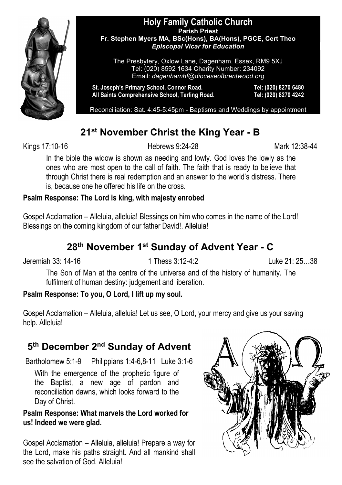

#### **Holy Family Catholic Church Parish Priest Fr. Stephen Myers MA, BSc(Hons), BA(Hons), PGCE, Cert Theo** *Episcopal Vicar for Education*

The Presbytery, Oxlow Lane, Dagenham, Essex, RM9 5XJ Tel: (020) 8592 1634 Charity Number: 234092 Email: *dagenhamhf@dioceseofbrentwood.org*

**St. Joseph's Primary School, Connor Road. Tel: (020) 8270 6480 All Saints Comprehensive School, Terling Road. Tel: (020) 8270 4242**

Reconciliation: Sat. 4:45-5:45pm - Baptisms and Weddings by appointment

# **21st November Christ the King Year - B**

Kings 17:10-16 **Hebrews 9:24-28** Mark 12:38-44

In the bible the widow is shown as needing and lowly. God loves the lowly as the ones who are most open to the call of faith. The faith that is ready to believe that through Christ there is real redemption and an answer to the world's distress. There is, because one he offered his life on the cross.

#### **Psalm Response: The Lord is king, with majesty enrobed**

Gospel Acclamation – Alleluia, alleluia! Blessings on him who comes in the name of the Lord! Blessings on the coming kingdom of our father David!. Alleluia!

# **28th November 1st Sunday of Advent Year - C**

Jeremiah 33: 14-16 1 Thess 3:12-4:2 Luke 21: 25…38

The Son of Man at the centre of the universe and of the history of humanity. The fulfilment of human destiny: judgement and liberation.

### **Psalm Response: To you, O Lord, I lift up my soul.**

Gospel Acclamation – Alleluia, alleluia! Let us see, O Lord, your mercy and give us your saving help. Alleluia!

# **5th December 2nd Sunday of Advent**

Bartholomew 5:1-9 Philippians 1:4-6,8-11 Luke 3:1-6

With the emergence of the prophetic figure of the Baptist, a new age of pardon and reconciliation dawns, which looks forward to the Day of Christ.

#### **Psalm Response: What marvels the Lord worked for us! Indeed we were glad.**

Gospel Acclamation – Alleluia, alleluia! Prepare a way for the Lord, make his paths straight. And all mankind shall see the salvation of God. Alleluia!

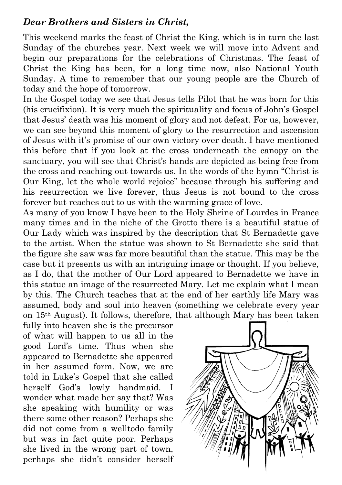### *Dear Brothers and Sisters in Christ,*

This weekend marks the feast of Christ the King, which is in turn the last Sunday of the churches year. Next week we will move into Advent and begin our preparations for the celebrations of Christmas. The feast of Christ the King has been, for a long time now, also National Youth Sunday. A time to remember that our young people are the Church of today and the hope of tomorrow.

In the Gospel today we see that Jesus tells Pilot that he was born for this (his crucifixion). It is very much the spirituality and focus of John's Gospel that Jesus' death was his moment of glory and not defeat. For us, however, we can see beyond this moment of glory to the resurrection and ascension of Jesus with it's promise of our own victory over death. I have mentioned this before that if you look at the cross underneath the canopy on the sanctuary, you will see that Christ's hands are depicted as being free from the cross and reaching out towards us. In the words of the hymn "Christ is Our King, let the whole world rejoice" because through his suffering and his resurrection we live forever, thus Jesus is not bound to the cross forever but reaches out to us with the warming grace of love.

As many of you know I have been to the Holy Shrine of Lourdes in France many times and in the niche of the Grotto there is a beautiful statue of Our Lady which was inspired by the description that St Bernadette gave to the artist. When the statue was shown to St Bernadette she said that the figure she saw was far more beautiful than the statue. This may be the case but it presents us with an intriguing image or thought. If you believe, as I do, that the mother of Our Lord appeared to Bernadette we have in this statue an image of the resurrected Mary. Let me explain what I mean by this. The Church teaches that at the end of her earthly life Mary was assumed, body and soul into heaven (something we celebrate every year on 15th August). It follows, therefore, that although Mary has been taken

fully into heaven she is the precursor of what will happen to us all in the good Lord's time. Thus when she appeared to Bernadette she appeared in her assumed form. Now, we are told in Luke's Gospel that she called herself God's lowly handmaid. I wonder what made her say that? Was she speaking with humility or was there some other reason? Perhaps she did not come from a welltodo family but was in fact quite poor. Perhaps she lived in the wrong part of town, perhaps she didn't consider herself

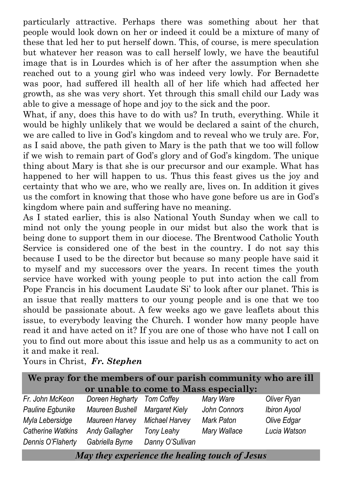particularly attractive. Perhaps there was something about her that people would look down on her or indeed it could be a mixture of many of these that led her to put herself down. This, of course, is mere speculation but whatever her reason was to call herself lowly, we have the beautiful image that is in Lourdes which is of her after the assumption when she reached out to a young girl who was indeed very lowly. For Bernadette was poor, had suffered ill health all of her life which had affected her growth, as she was very short. Yet through this small child our Lady was able to give a message of hope and joy to the sick and the poor.

What, if any, does this have to do with us? In truth, everything. While it would be highly unlikely that we would be declared a saint of the church, we are called to live in God's kingdom and to reveal who we truly are. For, as I said above, the path given to Mary is the path that we too will follow if we wish to remain part of God's glory and of God's kingdom. The unique thing about Mary is that she is our precursor and our example. What has happened to her will happen to us. Thus this feast gives us the joy and certainty that who we are, who we really are, lives on. In addition it gives us the comfort in knowing that those who have gone before us are in God's kingdom where pain and suffering have no meaning.

As I stated earlier, this is also National Youth Sunday when we call to mind not only the young people in our midst but also the work that is being done to support them in our diocese. The Brentwood Catholic Youth Service is considered one of the best in the country. I do not say this because I used to be the director but because so many people have said it to myself and my successors over the years. In recent times the youth service have worked with young people to put into action the call from Pope Francis in his document Laudate Si' to look after our planet. This is an issue that really matters to our young people and is one that we too should be passionate about. A few weeks ago we gave leaflets about this issue, to everybody leaving the Church. I wonder how many people have read it and have acted on it? If you are one of those who have not I call on you to find out more about this issue and help us as a community to act on it and make it real.

Yours in Christ, *Fr. Stephen*

| We pray for the members of our parish community who are ill |                                |                  |              |                     |  |  |  |
|-------------------------------------------------------------|--------------------------------|------------------|--------------|---------------------|--|--|--|
| or unable to come to Mass especially:                       |                                |                  |              |                     |  |  |  |
| Fr. John McKeon                                             | Doreen Hegharty Tom Coffey     |                  | Mary Ware    | Oliver Ryan         |  |  |  |
| Pauline Egbunike                                            | Maureen Bushell Margaret Kiely |                  | John Connors | <b>Ibiron Ayool</b> |  |  |  |
| Myla Lebersidge                                             | Maureen Harvey                 | Michael Harvey   | Mark Paton   | Olive Edgar         |  |  |  |
| <b>Catherine Watkins</b>                                    | <b>Andy Gallagher</b>          | Tony Leahy       | Mary Wallace | Lucia Watson        |  |  |  |
| Dennis O'Flaherty                                           | Gabriella Byrne                | Danny O'Sullivan |              |                     |  |  |  |
|                                                             | $\blacksquare$                 |                  | .            |                     |  |  |  |

*May they experience the healing touch of Jesus*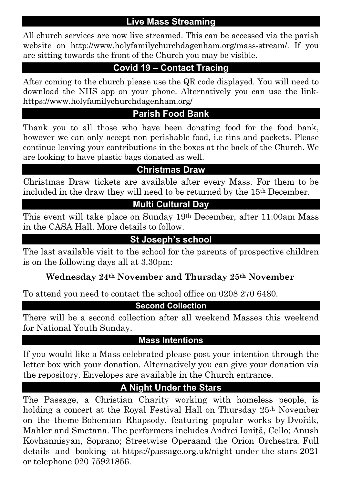### **Live Mass Streaming**

All church services are now live streamed. This can be accessed via the parish website on http://www.holyfamilychurchdagenham.org/mass-stream/. If you are sitting towards the front of the Church you may be visible.

### **Covid 19 – Contact Tracing**

After coming to the church please use the QR code displayed. You will need to download the NHS app on your phone. Alternatively you can use the linkhttps://www.holyfamilychurchdagenham.org/

### **Parish Food Bank**

Thank you to all those who have been donating food for the food bank, however we can only accept non perishable food, i.e tins and packets. Please continue leaving your contributions in the boxes at the back of the Church. We are looking to have plastic bags donated as well.

### **Christmas Draw**

Christmas Draw tickets are available after every Mass. For them to be included in the draw they will need to be returned by the 15th December.

# **Multi Cultural Day**

This event will take place on Sunday 19th December, after 11:00am Mass in the CASA Hall. More details to follow.

## **St Joseph's school**

The last available visit to the school for the parents of prospective children is on the following days all at 3.30pm:

### **Wednesday 24th November and Thursday 25th November**

To attend you need to contact the school office on 0208 270 6480.

### **Second Collection**

There will be a second collection after all weekend Masses this weekend for National Youth Sunday.

#### **Mass Intentions**

If you would like a Mass celebrated please post your intention through the letter box with your donation. Alternatively you can give your donation via the repository. Envelopes are available in the Church entrance.

### **A Night Under the Stars**

The Passage, a Christian Charity working with homeless people, is holding a concert at the Royal Festival Hall on Thursday 25th November on the theme Bohemian Rhapsody, featuring popular works by Dvořák, Mahler and Smetana. The performers includes Andrei Ioniță, Cello; Anush Kovhannisyan, Soprano; Streetwise Operaand the Orion Orchestra. Full details and booking at https://passage.org.uk/night-under-the-stars-2021 or telephone 020 75921856.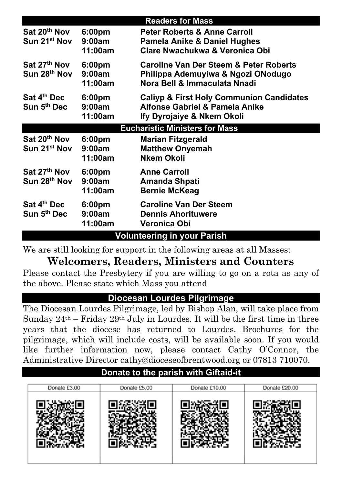|                                                      |                                         | <b>Readers for Mass</b>                                                                                                 |  |  |  |
|------------------------------------------------------|-----------------------------------------|-------------------------------------------------------------------------------------------------------------------------|--|--|--|
| Sat 20 <sup>th</sup> Nov<br>Sun 21 <sup>st</sup> Nov | 6:00pm<br>9:00am<br>11:00am             | <b>Peter Roberts &amp; Anne Carroll</b><br>Pamela Anike & Daniel Hughes<br>Clare Nwachukwa & Veronica Obi               |  |  |  |
| Sat 27th Nov<br>Sun 28 <sup>th</sup> Nov             | 6:00pm<br>9:00am<br>11:00am             | <b>Caroline Van Der Steem &amp; Peter Roberts</b><br>Philippa Ademuyiwa & Ngozi ONodugo<br>Nora Bell & Immaculata Nnadi |  |  |  |
| Sat 4 <sup>th</sup> Dec<br>Sun 5 <sup>th</sup> Dec   | 6:00 <sub>pm</sub><br>9:00am<br>11:00am | <b>Caliyp &amp; First Holy Communion Candidates</b><br>Alfonse Gabriel & Pamela Anike<br>Ify Dyrojaiye & Nkem Okoli     |  |  |  |
|                                                      |                                         | <b>Eucharistic Ministers for Mass</b>                                                                                   |  |  |  |
| Sat 20 <sup>th</sup> Nov<br>Sun 21 <sup>st</sup> Nov | 6:00 <sub>pm</sub><br>9:00am<br>11:00am | <b>Marian Fitzgerald</b><br><b>Matthew Onyemah</b><br><b>Nkem Okoli</b>                                                 |  |  |  |
| Sat 27 <sup>th</sup> Nov<br>Sun 28 <sup>th</sup> Nov | 6:00 <sub>pm</sub><br>9:00am<br>11:00am | <b>Anne Carroll</b><br>Amanda Shpati<br><b>Bernie McKeag</b>                                                            |  |  |  |
| Sat 4th Dec<br>Sun 5th Dec                           | 6:00 <sub>pm</sub><br>9:00am<br>11:00am | <b>Caroline Van Der Steem</b><br><b>Dennis Ahorituwere</b><br>Veronica Obi                                              |  |  |  |
| <b>Volunteering in your Parish</b>                   |                                         |                                                                                                                         |  |  |  |

We are still looking for support in the following areas at all Masses:

# **Welcomers, Readers, Ministers and Counters**

Please contact the Presbytery if you are willing to go on a rota as any of the above. Please state which Mass you attend

### **Diocesan Lourdes Pilgrimage**

The Diocesan Lourdes Pilgrimage, led by Bishop Alan, will take place from Sunday  $24<sup>th</sup>$  – Friday  $29<sup>th</sup>$  July in Lourdes. It will be the first time in three years that the diocese has returned to Lourdes. Brochures for the pilgrimage, which will include costs, will be available soon. If you would like further information now, please contact Cathy O'Connor, the Administrative Director cathy@dioceseofbrentwood.org or 07813 710070.

# **Donate to the parish with Giftaid-it**

| Donate £3.00 | Donate £5.00 | Donate £10.00 | Donate £20.00 |
|--------------|--------------|---------------|---------------|
|              |              |               |               |
|              |              |               |               |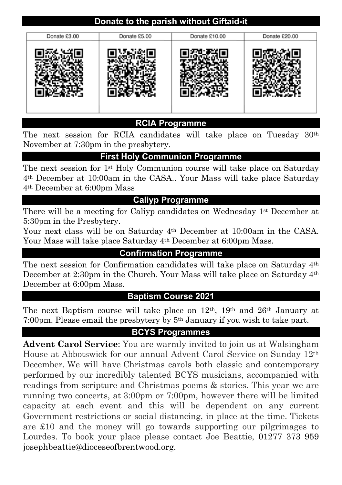# **Donate to the parish without Giftaid-it**



#### **RCIA Programme**

The next session for RCIA candidates will take place on Tuesday 30th November at 7:30pm in the presbytery.

### **First Holy Communion Programme**

The next session for 1st Holy Communion course will take place on Saturday 4th December at 10:00am in the CASA.. Your Mass will take place Saturday 4th December at 6:00pm Mass

### **Caliyp Programme**

There will be a meeting for Caliyp candidates on Wednesday 1st December at 5:30pm in the Presbytery.

Your next class will be on Saturday 4th December at 10:00am in the CASA. Your Mass will take place Saturday 4<sup>th</sup> December at 6:00pm Mass.

### **Confirmation Programme**

The next session for Confirmation candidates will take place on Saturday 4th December at 2:30pm in the Church. Your Mass will take place on Saturday 4th December at 6:00pm Mass.

#### **Baptism Course 2021**

The next Baptism course will take place on 12th, 19th and 26th January at 7:00pm. Please email the presbytery by 5th January if you wish to take part.

### **BCYS Programmes**

**Advent Carol Service**: You are warmly invited to join us at Walsingham House at Abbotswick for our annual Advent Carol Service on Sunday 12th December. We will have Christmas carols both classic and contemporary performed by our incredibly talented BCYS musicians, accompanied with readings from scripture and Christmas poems & stories. This year we are running two concerts, at 3:00pm or 7:00pm, however there will be limited capacity at each event and this will be dependent on any current Government restrictions or social distancing, in place at the time. Tickets are £10 and the money will go towards supporting our pilgrimages to Lourdes. To book your place please contact Joe Beattie, 01277 373 959 josephbeattie@dioceseofbrentwood.org.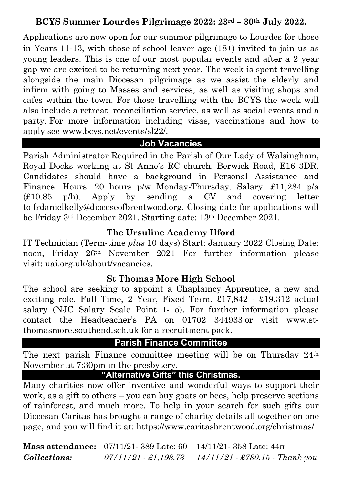## **BCYS Summer Lourdes Pilgrimage 2022: 23rd – 30th July 2022.**

Applications are now open for our summer pilgrimage to Lourdes for those in Years 11-13, with those of school leaver age (18+) invited to join us as young leaders. This is one of our most popular events and after a 2 year gap we are excited to be returning next year. The week is spent travelling alongside the main Diocesan pilgrimage as we assist the elderly and infirm with going to Masses and services, as well as visiting shops and cafes within the town. For those travelling with the BCYS the week will also include a retreat, reconciliation service, as well as social events and a party. For more information including visas, vaccinations and how to apply see www.bcys.net/events/sl22/.

### **Job Vacancies**

Parish Administrator Required in the Parish of Our Lady of Walsingham, Royal Docks working at St Anne's RC church, Berwick Road, E16 3DR. Candidates should have a background in Personal Assistance and Finance. Hours: 20 hours p/w Monday-Thursday. Salary: £11,284 p/a (£10.85 p/h). Apply by sending a CV and covering letter to frdanielkelly@dioceseofbrentwood.org. Closing date for applications will be Friday 3rd December 2021. Starting date: 13th December 2021.

### **The Ursuline Academy Ilford**

IT Technician (Term-time *plus* 10 days) Start: January 2022 Closing Date: noon, Friday 26th November 2021 For further information please visit: uai.org.uk/about/vacancies.

### **St Thomas More High School**

The school are seeking to appoint a Chaplaincy Apprentice, a new and exciting role. Full Time, 2 Year, Fixed Term. £17,842 - £19,312 actual salary (NJC Salary Scale Point 1- 5). For further information please contact the Headteacher's PA on 01702 344933 or visit www.stthomasmore.southend.sch.uk for a recruitment pack.

# **Parish Finance Committee**

The next parish Finance committee meeting will be on Thursday 24th November at 7:30pm in the presbytery.

## **"Alternative Gifts" this Christmas.**

Many charities now offer inventive and wonderful ways to support their work, as a gift to others – you can buy goats or bees, help preserve sections of rainforest, and much more. To help in your search for such gifts our Diocesan Caritas has brought a range of charity details all together on one page, and you will find it at: https://www.caritasbrentwood.org/christmas/

**Mass attendance:** 07/11/21- 389 Late: 60 14/11/21- 358 Late: 44π *Collections: 07/11/21 - £1,198.73 14/11/21 - £780.15 - Thank you*